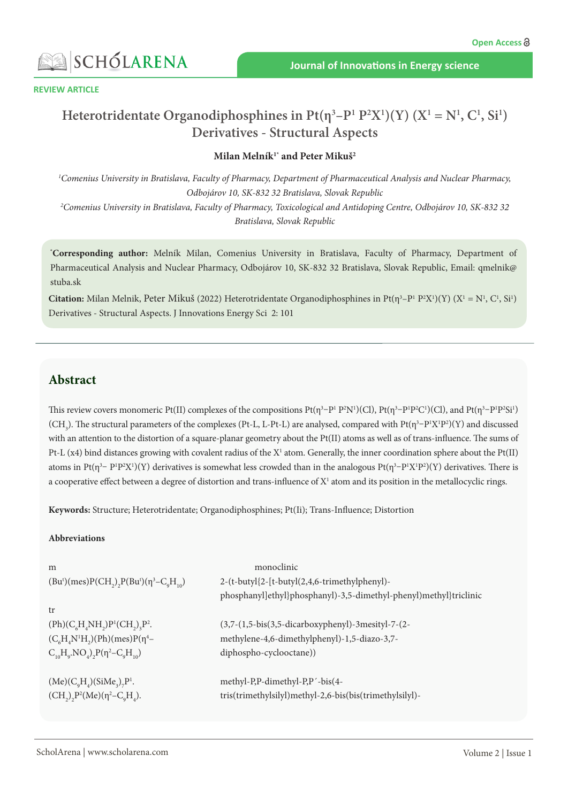



# **Heterotridentate Organodiphosphines in**  $Pt(\eta^3-P^1P^2X^1)(Y)$  $(X^1 = N^1, C^1, S^1)$ **Derivatives - Structural Aspects**

#### **Milan Melník1\* and Peter Mikuš2**

*1 Comenius University in Bratislava, Faculty of Pharmacy, Department of Pharmaceutical Analysis and Nuclear Pharmacy, Odbojárov 10, SK-832 32 Bratislava, Slovak Republic 2 Comenius University in Bratislava, Faculty of Pharmacy, Toxicological and Antidoping Centre, Odbojárov 10, SK-832 32 Bratislava, Slovak Republic*

**\* Corresponding author:** Melník Milan, Comenius University in Bratislava, Faculty of Pharmacy, Department of Pharmaceutical Analysis and Nuclear Pharmacy, Odbojárov 10, SK-832 32 Bratislava, Slovak Republic, Email: qmelnik@ stuba.sk

**Citation:** Milan Melnik, Peter Mikuš (2022) Heterotridentate Organodiphosphines in Pt( $\eta^3 - P^1 P^2 X^1$ )(Y) ( $X^1 = N^1$ , C<sup>1</sup>, Si<sup>1</sup>) Derivatives - Structural Aspects. J Innovations Energy Sci 2: 101

### **Abstract**

This review covers monomeric Pt(II) complexes of the compositions  $Pt(\eta^3-P^1P^2N^1)(Cl)$ ,  $Pt(\eta^3-P^1P^2Cl^1)(Cl)$ , and  $Pt(\eta^3-P^1P^2Si^1)$ (CH<sub>3</sub>). The structural parameters of the complexes (Pt-L, L-Pt-L) are analysed, compared with Pt( $\eta^3-P^1X^1P^2$ )(Y) and discussed with an attention to the distortion of a square-planar geometry about the Pt(II) atoms as well as of trans-influence. The sums of Pt-L  $(x4)$  bind distances growing with covalent radius of the  $X^1$  atom. Generally, the inner coordination sphere about the Pt $(II)$ atoms in Pt( $\eta^3$ – P<sup>1</sup>P<sup>2</sup>X<sup>1</sup>)(Y) derivatives is somewhat less crowded than in the analogous Pt( $\eta^3$ –P<sup>1</sup>X<sup>1</sup>P<sup>2</sup>)(Y) derivatives. There is a cooperative effect between a degree of distortion and trans-influence of  $X<sup>1</sup>$  atom and its position in the metallocyclic rings.

**Keywords:** Structure; Heterotridentate; Organodiphosphines; Pt(Ii); Trans-Influence; Distortion

#### **Abbreviations**

| m                                                                        | monoclinic                                                        |  |  |  |
|--------------------------------------------------------------------------|-------------------------------------------------------------------|--|--|--|
| $(Bu^{t})(mes)P(CH_{2})$ , $P(Bu^{t})(\eta^{3}-C_{9}H_{10})$             | 2-(t-butyl{2-[t-butyl(2,4,6-trimethylphenyl)-                     |  |  |  |
|                                                                          | phosphanyl]ethyl}phosphanyl)-3,5-dimethyl-phenyl)methyl}triclinic |  |  |  |
| tr                                                                       |                                                                   |  |  |  |
| $(Ph)(C6H4NH2)P1(CH2)3P2.$                                               | (3,7-(1,5-bis(3,5-dicarboxyphenyl)-3mesityl-7-(2-                 |  |  |  |
| $(C_6H_4N^1H_2)(Ph)(mes)P(\eta^4-$                                       | methylene-4,6-dimethylphenyl)-1,5-diazo-3,7-                      |  |  |  |
| $C_{10}H_{9}$ . NO <sub>4</sub> ) <sub>2</sub> $P(\eta^2 - C_{9}H_{10})$ | diphospho-cyclooctane))                                           |  |  |  |
|                                                                          |                                                                   |  |  |  |
| $(Me) (C_9H_4) (SiMe_3)_7P^1.$                                           | methyl-P,P-dimethyl-P,P'-bis(4-                                   |  |  |  |
| $(CH_2)_2 P^2(Me)(\eta^2 - C_0H_4).$                                     | tris(trimethylsilyl)methyl-2,6-bis(bis(trimethylsilyl)-           |  |  |  |
|                                                                          |                                                                   |  |  |  |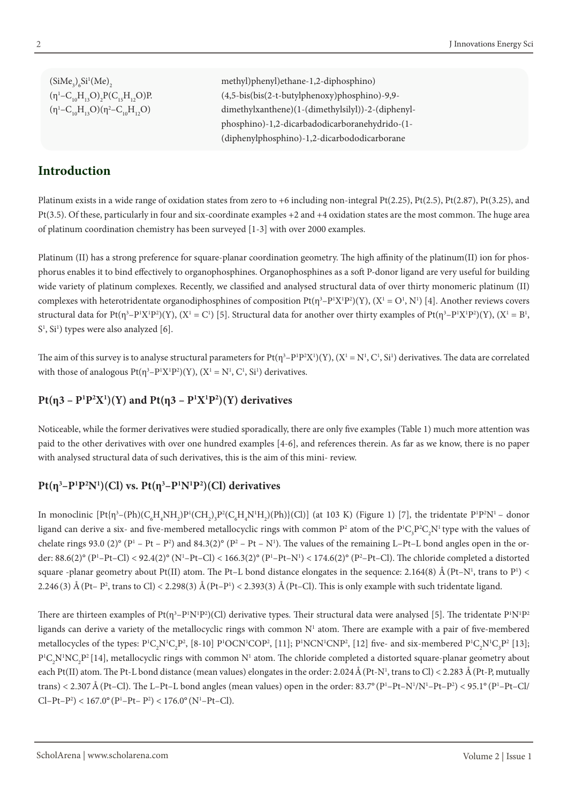$(SiMe<sub>3</sub>)<sub>6</sub>Si<sup>1</sup>$  $(\eta^1 - C_{10} H_{13} O)_2$  $(\eta^1 - C_{10}H_{13}O)(\eta^2)$ 

## **Introduction**

methyl)phenyl)ethane-1,2-diphosphino)  $(4,5-bis(bis(2-t-butylphenoxy))phosphino)-9,9$ dimethylxanthene)(1-(dimethylsilyl))-2-(diphenyl phosphino)-1,2-dicarbadodicarboranehydrido-(1- (diphenylphosphino)-1,2-dicarbododicarborane

Platinum exists in a wide range of oxidation states from zero to +6 including non-integral Pt(2.25), Pt(2.5), Pt(2.87), Pt(3.25), and Pt(3.5). Of these, particularly in four and six-coordinate examples +2 and +4 oxidation states are the most common. The huge area of platinum coordination chemistry has been surveyed [1-3] with over 2000 examples.

Platinum (II) has a strong preference for square-planar coordination geometry. The high affinity of the platinum(II) ion for phosphorus enables it to bind effectively to organophosphines. Organophosphines as a soft P-donor ligand are very useful for building wide variety of platinum complexes. Recently, we classified and analysed structural data of over thirty monomeric platinum (II) complexes with heterotridentate organodiphosphines of composition  $Pt(\eta^3-P^1X^1P^2)(Y)$ ,  $(X^1 = O^1, N^1)$  [4]. Another reviews covers structural data for Pt(η<sup>3</sup>–P<sup>1</sup>X<sup>1</sup>P<sup>2</sup>)(Y), (X<sup>1</sup> = C<sup>1</sup>) [5]. Structural data for another over thirty examples of Pt(η<sup>3</sup>–P<sup>1</sup>X<sup>1</sup>P<sup>2</sup>)(Y), (X<sup>1</sup> = B<sup>1</sup>, S<sup>1</sup>, Si<sup>1</sup>) types were also analyzed [6].

The aim of this survey is to analyse structural parameters for Pt( $\eta^3-P^1P^2X^1(Y)$ ,  $(X^1=N^1,C^1,S^1)$  derivatives. The data are correlated with those of analogous  $Pt(\eta^3-P^1X^1P^2)(Y)$ ,  $(X^1 = N^1, C^1, S^1)$  derivatives.

### **Pt(** $\eta$ **3** –  $P^1P^2X^1$ )(Y) and Pt( $\eta$ 3 –  $P^1X^1P^2$ )(Y) derivatives

Noticeable, while the former derivatives were studied sporadically, there are only five examples (Table 1) much more attention was paid to the other derivatives with over one hundred examples [4-6], and references therein. As far as we know, there is no paper with analysed structural data of such derivatives, this is the aim of this mini- review.

#### **Pt(** $\eta^3$ **–** $P^1P^2N^1$ **)(Cl) vs. Pt(** $\eta^3$ **–** $P^1N^1P^2$ **)(Cl) derivatives**

In monoclinic  $[\mathrm{Pt}\{\eta^3-(\mathrm{Ph})(\mathrm{C}_6\mathrm{H}_4\mathrm{NH}_2)\mathrm{P}^1(\mathrm{CH}_2)_3\mathrm{P}^2(\mathrm{C}_6\mathrm{H}_4\mathrm{N}^1\mathrm{H}_2)(\mathrm{Ph})\}$ (Cl)] (at 103 K) (Figure 1) [7], the tridentate P<sup>1</sup>P<sup>2</sup>N<sup>1</sup> – donor ligand can derive a six- and five-membered metallocyclic rings with common  $P^2$  atom of the  $P^1C_3P^2C_2N^1$  type with the values of chelate rings 93.0 (2) $\textdegree$  (P<sup>1</sup> – Pt – P<sup>2</sup>) and 84.3(2) $\textdegree$  (P<sup>2</sup> – Pt – N<sup>1</sup>). The values of the remaining L–Pt–L bond angles open in the order: 88.6(2)° (P'-Pt-Cl) < 92.4(2)° (N'-Pt-Cl) < 166.3(2)° (P'-Pt-N') < 174.6(2)° (P'-Pt-Cl). The chloride completed a distorted square -planar geometry about Pt(II) atom. The Pt–L bond distance elongates in the sequence: 2.164(8) Å (Pt–N<sup>1</sup>, trans to P<sup>1</sup>) < 2.246 (3) Å (Pt– P<sup>2</sup>, trans to Cl) < 2.298(3) Å (Pt–P<sup>1</sup>) < 2.393(3) Å (Pt–Cl). This is only example with such tridentate ligand.

There are thirteen examples of Pt(ŋ3–P<sup>1</sup>N<sup>1</sup>P<sup>2</sup>)(Cl) derivative types. Their structural data were analysed [5]. The tridentate P<sup>1</sup>N<sup>1</sup>P<sup>2</sup> ligands can derive a variety of the metallocyclic rings with common  $N<sup>1</sup>$  atom. There are example with a pair of five-membered metallocycles of the types:  $P^1C_2N^1C_2P^2$ , [8-10]  $P^1OCN^1COP^2$ , [11];  $P^1NCN^1CNP^2$ , [12] five- and six-membered  $P^1C_2N^1C_3P^2$  [13];  $P^1C_2N^1NC_2P^2$  [14], metallocyclic rings with common  $N^1$  atom. The chloride completed a distorted square-planar geometry about each Pt(II) atom. The Pt-L bond distance (mean values) elongates in the order: 2.024 Å (Pt-N½, trans to Cl) < 2.283 Å (Pt-P, mutually trans) < 2.307 Å (Pt–Cl). The L–Pt–L bond angles (mean values) open in the order: 83.7° (P'–Pt–N'/N'–Pt–Pʾ) < 95.1° (P'–Pt–Cl/  $Cl-Pt-P<sup>2</sup>$ ) < 167.0° (P<sup>1</sup>-Pt- P<sup>2</sup>) < 176.0° (N<sup>1</sup>-Pt-Cl).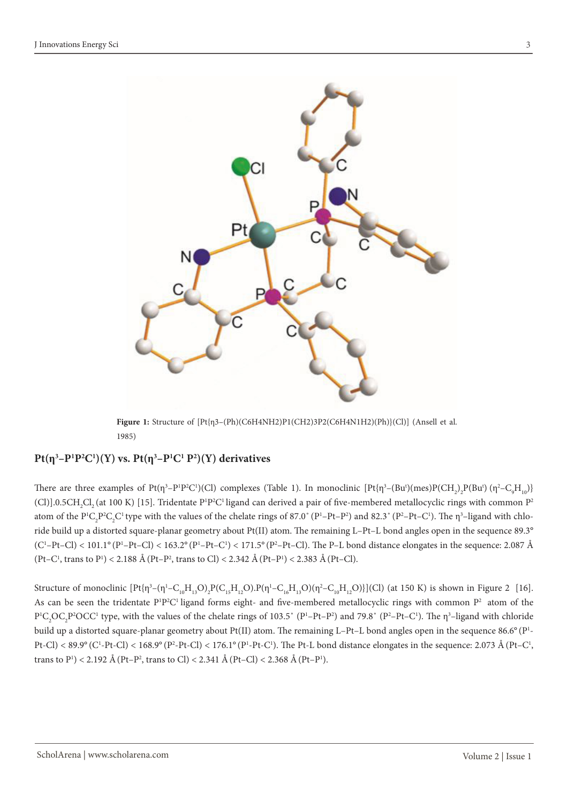

**Figure 1:** Structure of [Pt{η3–(Ph)(C6H4NH2)P1(CH2)3P2(C6H4N1H2)(Ph)}(Cl)] (Ansell et al. 1985)

#### $Pt(\eta^3-P^1P^2C^1)(Y)$  vs.  $Pt(\eta^3-P^1C^1P^2)(Y)$  derivatives

There are three examples of Pt( $\eta^3$ –P<sup>1</sup>P<sup>2</sup>C<sup>1</sup>)(Cl) complexes (Table 1). In monoclinic [Pt{ $\eta^3$ –(Bu<sup>t</sup>)(mes)P(CH<sub>2</sub>)<sub>2</sub>P(Bu<sup>t</sup>)( $\eta^2$ –C<sub>9</sub>H<sub>10</sub>)} (Cl)].0.5CH<sub>2</sub>Cl<sub>2</sub> (at 100 K) [15]. Tridentate P<sup>1</sup>P<sup>2</sup>C<sup>1</sup> ligand can derived a pair of five-membered metallocyclic rings with common P<sup>2</sup> atom of the  $P^1C_2P^2C_2C^1$  type with the values of the chelate rings of 87.0° ( $P^1-Pt-P^2$ ) and 82.3° ( $P^2-Pt-C^1$ ). The  $\eta^3$ -ligand with chloride build up a distorted square-planar geometry about Pt(II) atom. The remaining L–Pt–L bond angles open in the sequence 89.3°  $(C^1-Pt-Cl)$  < 101.1°  $(P^1-Pt-Cl)$  < 163.2°  $(P^1-Pt-C^1)$  < 171.5°  $(P^2-Pt-Cl)$ . The P–L bond distance elongates in the sequence: 2.087 Å  $(Pt-C<sup>1</sup>, trans to P<sup>1</sup>) < 2.188$  Å  $(Pt-P<sup>2</sup>, trans to Cl) < 2.342$  Å  $(Pt-P<sup>1</sup>) < 2.383$  Å  $(Pt-Cl)$ .

Structure of monoclinic  $[Pt{\{\eta^3-(\eta^1-C_{10}H_{13}O)_2P(C_{15}H_{12}O).P(\eta^1-C_{16}H_{13}O)(\eta^2-C_{10}H_{12}O)}]$ (Cl) (at 150 K) is shown in Figure 2 [16]. As can be seen the tridentate  $P^1P^2C^1$  ligand forms eight- and five-membered metallocyclic rings with common  $P^2$  atom of the  $P^1C_2OC_2P^2OCC^1$  type, with the values of the chelate rings of 103.5° ( $P^1-Pt-P^2$ ) and 79.8° ( $P^2-Pt-C^1$ ). The  $\eta^3$ -ligand with chloride build up a distorted square-planar geometry about Pt(II) atom. The remaining L–Pt–L bond angles open in the sequence 86.6° (P<sup>1</sup>-Pt-Cl) < 89.9° (C<sup>1</sup>-Pt-Cl) < 168.9° (P<sup>2</sup>-Pt-Cl) < 176.1° (P<sup>1</sup>-Pt-C<sup>1</sup>). The Pt-L bond distance elongates in the sequence: 2.073 Å (Pt-C<sup>1</sup>, trans to P<sup>1</sup>) < 2.192 Å (Pt–P<sup>2</sup>, trans to Cl) < 2.341 Å (Pt–Cl) < 2.368 Å (Pt–P<sup>1</sup>).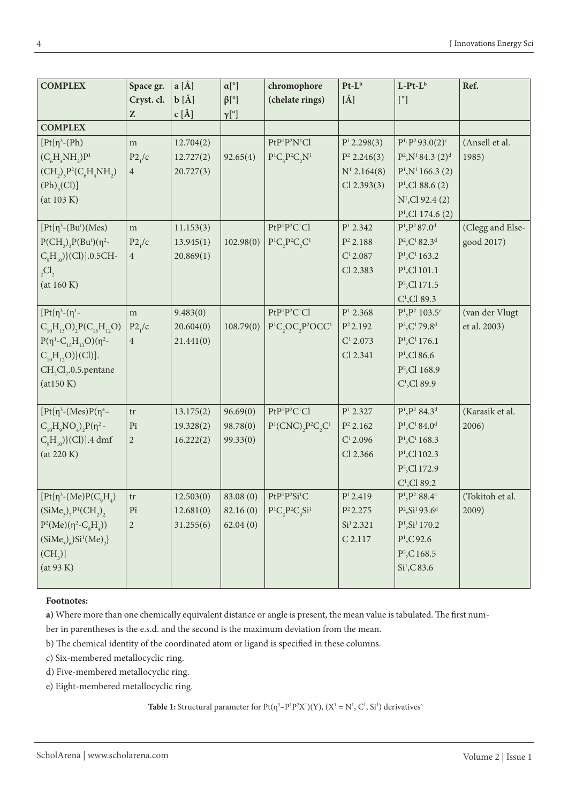| <b>COMPLEX</b>                                    | Space gr.                                             | $a [\AA]$ | $\alpha[^{\circ}]$ | chromophore                                                                   | $Pt-L^b$                | $L-Pt-L^b$                                | Ref.             |
|---------------------------------------------------|-------------------------------------------------------|-----------|--------------------|-------------------------------------------------------------------------------|-------------------------|-------------------------------------------|------------------|
|                                                   | Cryst. cl.                                            | $b [\AA]$ | $\beta$ [°]        | (chelate rings)                                                               | $[\AA]$                 | $[$ °]                                    |                  |
|                                                   | $\mathbf{Z}% ^{T}=\mathbf{Z}^{T}\times\mathbf{Z}^{T}$ | $c [\AA]$ | $\gamma[^{\circ}]$ |                                                                               |                         |                                           |                  |
| <b>COMPLEX</b>                                    |                                                       |           |                    |                                                                               |                         |                                           |                  |
| $[Pt{n^3-(Ph)}$                                   | m                                                     | 12.704(2) |                    | $PtP1P2N1Cl$                                                                  | P <sup>1</sup> 2.298(3) | $P^{1,}P^{2}93.0(2)^{c}$                  | (Ansell et al.   |
| $(C_{\epsilon}H_{\alpha}NH_{\gamma})P^{1}$        | P2/c                                                  | 12.727(2) | 92.65(4)           | $P^1C, P^2C, N^1$                                                             | $P^2$ 2.246(3)          | $P^2, N^1 84.3 (2)^d$                     | 1985)            |
| $(CH_2)_3P^2(C_6H_4NH_2)$                         | $\overline{4}$                                        | 20.727(3) |                    |                                                                               | $N^1$ 2.164(8)          | $P^1, N^1$ 166.3 (2)                      |                  |
| $(Ph)_{3}(Cl)$                                    |                                                       |           |                    |                                                                               | $Cl$ 2.393 $(3)$        | $P1$ , Cl 88.6 (2)                        |                  |
| (at 103 K)                                        |                                                       |           |                    |                                                                               |                         | $N^1$ , Cl 92.4 (2)                       |                  |
|                                                   |                                                       |           |                    |                                                                               |                         | $P1$ , Cl 174.6 (2)                       |                  |
| $[Pt{η3-(But)(Mes)}$                              | m                                                     | 11.153(3) |                    | PtP <sup>1</sup> P <sup>2</sup> C <sup>1</sup> Cl                             | P <sup>1</sup> 2.342    | $P^{1}, P^{2}$ 87.0 <sup>d</sup>          | (Clegg and Else- |
| $P(CH_2), P(Bu^t)(\eta^2-$                        | P2/c                                                  | 13.945(1) | 102.98(0)          | $P^1C_2P^2C_3C^1$                                                             | $P^2$ 2.188             | $P^2, C^1 82.3^d$                         | good 2017)       |
| $C_qH_{10}$ }{(Cl)].0.5CH-                        | $\overline{4}$                                        | 20.869(1) |                    |                                                                               | $C^1 2.087$             | P <sup>1</sup> , C <sup>1</sup> 163.2     |                  |
| $_{2}Cl_{2}$                                      |                                                       |           |                    |                                                                               | Cl 2.383                | $P1$ , Cl 101.1                           |                  |
| (at 160 K)                                        |                                                       |           |                    |                                                                               |                         | P <sup>2</sup> , Cl 171.5                 |                  |
|                                                   |                                                       |           |                    |                                                                               |                         | $C1$ , Cl 89.3                            |                  |
| $[Pt{\eta^3-(\eta^1-$                             | m                                                     | 9.483(0)  |                    | PtP <sup>1</sup> P <sup>2</sup> C <sup>1</sup> Cl                             | P <sup>1</sup> 2.368    | $P^{1}, P^{2}$ 103.5 <sup>e</sup>         | (van der Vlugt   |
| $C_{10}H_{13}O_{2}P(C_{15}H_{12}O)$               | P2 <sub>1</sub> /c                                    | 20.604(0) | 108.79(0)          | P <sup>1</sup> C <sub>2</sub> OC <sub>2</sub> P <sup>2</sup> OCC <sup>1</sup> | $P^2 2.192$             | $P^2$ , $C^1$ 79.8 <sup>d</sup>           | et al. 2003)     |
| $P(\eta^1 - C_{15}H_{13}O)(\eta^2 -$              | $\overline{4}$                                        | 21.441(0) |                    |                                                                               | C <sup>1</sup> 2.073    | $P1, C1$ 176.1                            |                  |
| $C_{10}H_{12}O$ }(Cl)].                           |                                                       |           |                    |                                                                               | Cl 2.341                | $P^{1}$ , Cl 86.6                         |                  |
| CH <sub>2</sub> Cl <sub>2</sub> .0.5.pentane      |                                                       |           |                    |                                                                               |                         | P <sup>2</sup> , Cl 168.9                 |                  |
| (at150 K)                                         |                                                       |           |                    |                                                                               |                         | $C1$ , Cl 89.9                            |                  |
|                                                   |                                                       |           |                    |                                                                               |                         |                                           |                  |
| $[Pt{\eta^3-(Mes)P(\eta^4-}$                      | tr                                                    | 13.175(2) | 96.69(0)           | PtP <sup>1</sup> P <sup>2</sup> C <sup>1</sup> Cl                             | P <sup>1</sup> 2.327    | $P^{1}, P^{2}$ 84.3 <sup>d</sup>          | (Karasik et al.  |
| $C_{10}H_{0}NO_{4}$ ) <sub>2</sub> $P(\eta^{2} -$ | $\rm{P}\bar{\rm{i}}$                                  | 19.328(2) | 98.78(0)           | $P^1(CNC), P^2C, C^1$                                                         | $P^2$ 2.162             | $P^{1}$ , $C^{1}$ 84.0 <sup>d</sup>       | 2006)            |
| $C_qH_{10}$ }{(Cl)].4 dmf                         | $\mathbf{2}$                                          | 16.222(2) | 99.33(0)           |                                                                               | $C^1$ 2.096             | P <sup>1</sup> , C <sup>1</sup> 168.3     |                  |
| (at 220 K)                                        |                                                       |           |                    |                                                                               | Cl 2.366                | $P1$ , Cl 102.3                           |                  |
|                                                   |                                                       |           |                    |                                                                               |                         | P <sup>2</sup> , Cl 172.9                 |                  |
|                                                   |                                                       |           |                    |                                                                               |                         | $C1$ , Cl 89.2                            |                  |
| $[Pt{\eta^3-(Me)P(C_{\alpha}H_{A})}$              | tr                                                    | 12.503(0) | 83.08 (0)          | PtP <sup>1</sup> P <sup>2</sup> Si <sup>1</sup> C                             | P <sup>1</sup> 2.419    | $P^{1}, P^{2}$ 88.4°                      | (Tokitoh et al.  |
| $(SiMe_{3})_{7}P^{1}(CH_{2})_{2}$                 | $\rm{P}\bar{\rm{i}}$                                  | 12.681(0) | 82.16(0)           | $P^1C_2P^2C_3Si^1$                                                            | $P^2 2.275$             | $P^2$ , Si <sup>1</sup> 93.6 <sup>d</sup> | 2009)            |
| $P^{2}(Me)(\eta^{2}-C_{0}H_{_{A}}))$              | $\overline{c}$                                        | 31.255(6) | 62.04(0)           |                                                                               | Si <sup>1</sup> 2.321   | $P^1$ , Si <sup>1</sup> 170.2             |                  |
| $(SiMe_{3})_{6}Si^{1}(Me)_{2}$                    |                                                       |           |                    |                                                                               | C 2.117                 | $P^{1}$ , C92.6                           |                  |
| (CH <sub>3</sub> )                                |                                                       |           |                    |                                                                               |                         | $P^2$ , C 168.5                           |                  |
| (at 93 K)                                         |                                                       |           |                    |                                                                               |                         | Si <sup>1</sup> , C 83.6                  |                  |
|                                                   |                                                       |           |                    |                                                                               |                         |                                           |                  |

#### **Footnotes:**

**a)** Where more than one chemically equivalent distance or angle is present, the mean value is tabulated. The first num-

ber in parentheses is the e.s.d. and the second is the maximum deviation from the mean.

b) The chemical identity of the coordinated atom or ligand is specified in these columns.

c) Six-membered metallocyclic ring.

d) Five-membered metallocyclic ring.

e) Eight-membered metallocyclic ring.

**Table 1:** Structural parameter for  $Pt(\eta^3 - P^1P^2X^1)(Y)$ ,  $(X^1 = N^1, C^1, Si^1)$  derivatives<sup>®</sup>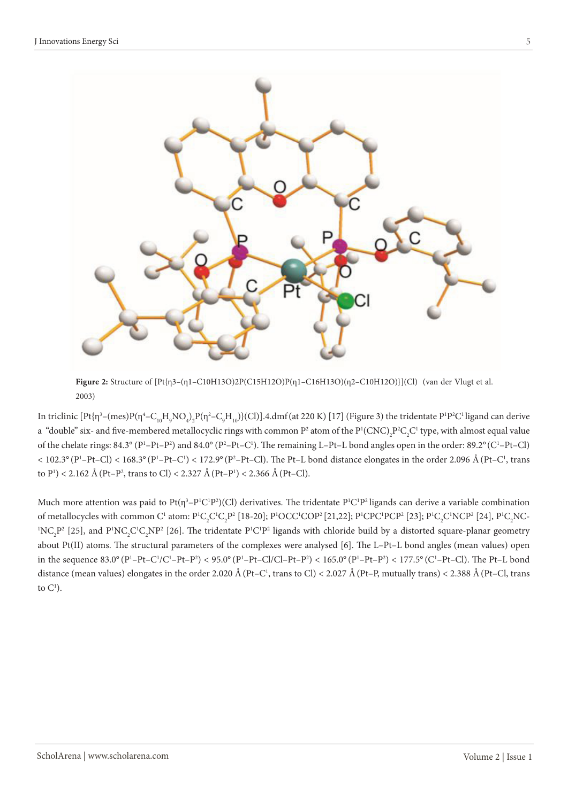

**Figure 2:** Structure of [Pt{η3–(η1–C10H13O)2P(C15H12O)P(η1–C16H13O)(η2–C10H12O)}](Cl) (van der Vlugt et al. 2003)

In triclinic  $[\rm Pt\{ \eta^3-(mes)P(\eta^4-C_{10}H_{9}NO_4)_2P(\eta^2-C_{9}H_{10})\} (Cl)]$ .4.dmf(at 220 K) [17] (Figure 3) the tridentate P<sup>1</sup>P<sup>2</sup>C<sup>1</sup> ligand can derive a "double" six- and five-membered metallocyclic rings with common  $P^2$  atom of the  $P^1(CNC)_2P^2C_2C^1$  type, with almost equal value of the chelate rings:  $84.3^{\circ}$  (P<sup>1</sup>-Pt-P<sup>2</sup>) and  $84.0^{\circ}$  (P<sup>2</sup>-Pt-C<sup>1</sup>). The remaining L-Pt-L bond angles open in the order:  $89.2^{\circ}$  (C<sup>1</sup>-Pt-Cl)  $<$  102.3° (P<sup>1</sup>–Pt–Cl)  $<$  168.3° (P<sup>1</sup>–Pt–C<sup>1</sup>)  $<$  172.9° (P<sup>2</sup>–Pt–Cl). The Pt–L bond distance elongates in the order 2.096 Å (Pt–C<sup>1</sup>, trans to P<sup>1</sup>) < 2.162 Å (Pt–P<sup>2</sup>, trans to Cl) < 2.327 Å (Pt–P<sup>1</sup>) < 2.366 Å (Pt–Cl).

Much more attention was paid to Pt( $\eta^3-P^1C^1P^2$ )(Cl) derivatives. The tridentate  $P^1C^1P^2$ ligands can derive a variable combination of metallocycles with common C<sup>1</sup> atom: P<sup>1</sup>C<sub>2</sub>C<sup>1</sup>C<sub>2</sub>P<sup>2</sup> [18-20]; P<sup>1</sup>OCC<sup>1</sup>COP<sup>2</sup> [21,22]; P<sup>1</sup>CPC<sup>1</sup>PCP<sup>2</sup> [23]; P<sup>1</sup>C<sub>2</sub>C<sup>1</sup>NCP<sup>2</sup> [24], P<sup>1</sup>C<sub>2</sub>NC- ${}^{1}NC_{2}P^{2}$  [25], and P<sup>1</sup>NC<sub>2</sub>C<sup>1</sup>C<sub>2</sub>NP<sup>2</sup> [26]. The tridentate P<sup>1</sup>C<sup>1</sup>P<sup>2</sup> ligands with chloride build by a distorted square-planar geometry about Pt(II) atoms. The structural parameters of the complexes were analysed [6]. The L–Pt–L bond angles (mean values) open in the sequence 83.0° (P'-Pt–C'/C'-Pt–P<sup>2</sup>) < 95.0° (P'-Pt–Cl/Cl–Pt–P<sup>2</sup>) < 165.0° (P'-Pt–P<sup>2</sup>) < 177.5° (C'-Pt–Cl). The Pt–L bond distance (mean values) elongates in the order 2.020 Å (Pt–C<sup>1</sup>, trans to Cl) < 2.027 Å (Pt–P, mutually trans) < 2.388 Å (Pt–Cl, trans to  $C^1$ ).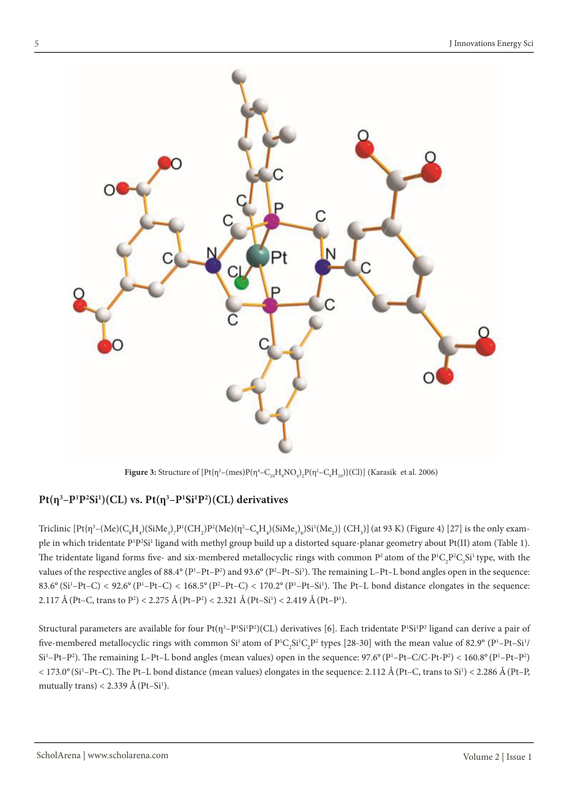

**Figure 3:** Structure of  $[Pt{\{\eta^3-(mes)P(\eta^4-C_{10}H_{9}NO_{4})}_2P(\eta^2-C_{9}H_{10})\}$ (Cl)] (Karasik et al. 2006)

### **Pt(η3 –P1 P2 Si1 )(CL) vs. Pt(η3 –P1 Si1 P2 )(CL) derivatives**

Triclinic  $[\rm Ptf\eta^3-(Me)(C_gH_4)(SiMe_3)_7\rm P^1(CH_2)\rm P^2(Me)(\eta^2-C_gH_4)(SiMe_3)_6\rm Si^1(Me_3)$ } (CH<sub>3</sub>)] (at 93 K) (Figure 4) [27] is the only example in which tridentate P<sup>1</sup>P<sup>2</sup>Si<sup>1</sup> ligand with methyl group build up a distorted square-planar geometry about Pt(II) atom (Table 1). The tridentate ligand forms five- and six-membered metallocyclic rings with common  $P^2$  atom of the  $P^1C_2P^2C_3Si^1$  type, with the values of the respective angles of 88.4 $\textdegree$  (P<sup>1</sup>-Pt–P<sup>2</sup>) and 93.6 $\textdegree$  (P<sup>2</sup>-Pt–Si<sup>1</sup>). The remaining L-Pt–L bond angles open in the sequence: 83.6° (Si<sup>1</sup>-Pt-C) < 92.6° (P<sup>1</sup>-Pt-C) < 168.5° (P<sup>2</sup>-Pt-C) < 170.2° (P<sup>1</sup>-Pt-Si<sup>1</sup>). The Pt-L bond distance elongates in the sequence: 2.117 Å (Pt–C, trans to P<sup>2</sup>) < 2.275 Å (Pt–P<sup>2</sup>) < 2.321 Å (Pt–Si<sup>1</sup>) < 2.419 Å (Pt–P<sup>1</sup>).

Structural parameters are available for four Pt(η $3-P^1Si^1P^2$ )(CL) derivatives [6]. Each tridentate P'Si<sup>1</sup>P<sup>2</sup> ligand can derive a pair of five-membered metallocyclic rings with common Si<sup>1</sup> atom of P<sup>1</sup>C<sub>2</sub>Si<sup>1</sup>C<sub>2</sub>P<sup>2</sup> types [28-30] with the mean value of 82.9° (P<sup>1</sup>–Pt–Si<sup>1</sup>/  $Si<sup>1</sup>-Pt-P<sup>2</sup>$ ). The remaining L-Pt-L bond angles (mean values) open in the sequence: 97.6° (P<sup>1</sup>-Pt-C/C-Pt-P<sup>2</sup>) < 160.8° (P<sup>1</sup>-Pt-P<sup>2</sup>)  $<$  173.0° (Si<sup>1</sup>–Pt–C). The Pt–L bond distance (mean values) elongates in the sequence: 2.112 Å (Pt–C, trans to Si<sup>1</sup>)  $<$  2.286 Å (Pt–P, mutually trans) < 2.339 Å (Pt–Si<sup>1</sup>).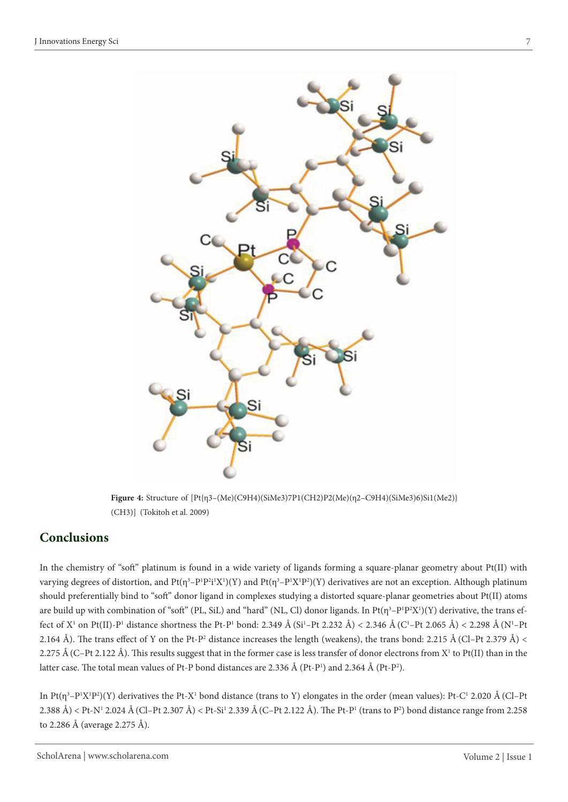

**Figure 4:** Structure of [Pt{η3–(Me)(C9H4)(SiMe3)7P1(CH2)P2(Me)(η2–C9H4)(SiMe3)6)Si1(Me2)} (CH3)] (Tokitoh et al. 2009)

### **Conclusions**

In the chemistry of "soft" platinum is found in a wide variety of ligands forming a square-planar geometry about Pt(II) with varying degrees of distortion, and Pt( $\eta^3-P^1P^2i^1X^1(Y)$  and Pt( $\eta^3-P^1X^1P^2(Y)$ ) derivatives are not an exception. Although platinum should preferentially bind to "soft" donor ligand in complexes studying a distorted square-planar geometries about Pt(II) atoms are build up with combination of "soft" (PL, SiL) and "hard" (NL, Cl) donor ligands. In Pt( $\eta^3-P^1P^2X^1)(Y)$  derivative, the trans effect of X<sup>1</sup> on Pt(II)-P<sup>1</sup> distance shortness the Pt-P<sup>1</sup> bond: 2.349 Å (Si<sup>1</sup>–Pt 2.232 Å) < 2.346 Å (C<sup>1</sup>–Pt 2.065 Å) < 2.298 Å (N<sup>1</sup>–Pt 2.164 Å). The trans effect of Y on the Pt-P<sup>2</sup> distance increases the length (weakens), the trans bond: 2.215 Å (Cl–Pt 2.379 Å) < 2.275 Å (C–Pt 2.122 Å). This results suggest that in the former case is less transfer of donor electrons from X<sup>1</sup> to Pt(II) than in the latter case. The total mean values of Pt-P bond distances are 2.336  $\AA$  (Pt-P<sup>1</sup>) and 2.364  $\AA$  (Pt-P<sup>2</sup>).

In Pt( $\eta^3$ –P<sup>1</sup>X<sup>1</sup>P<sup>2</sup>)(Y) derivatives the Pt-X<sup>1</sup> bond distance (trans to Y) elongates in the order (mean values): Pt-C<sup>1</sup> 2.020 Å (Cl–Pt) 2.388 Å) < Pt-N1 2.024 Å(Cl–Pt 2.307 Å) < Pt-Si1 2.339 Å(C–Pt 2.122 Å). The Pt-P1 (trans to P2 ) bond distance range from 2.258 to 2.286 Å (average 2.275 Å).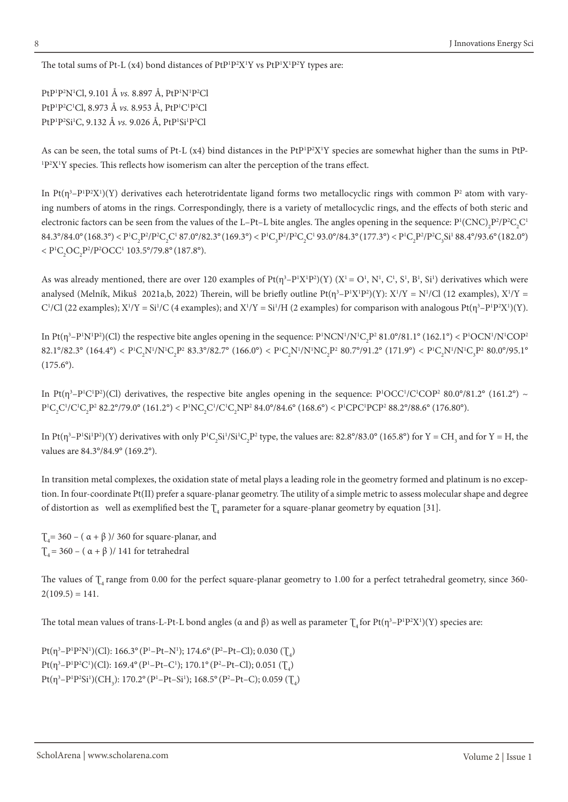The total sums of Pt-L (x4) bond distances of PtP<sup>1</sup>P<sup>2</sup>X<sup>1</sup>Y vs PtP<sup>1</sup>X<sup>1</sup>P<sup>2</sup>Y types are:

PtP<sup>1</sup>P<sup>2</sup>N<sup>1</sup>Cl, 9.101 Å *vs.* 8.897 Å, PtP<sup>1</sup>N<sup>1</sup>P<sup>2</sup>Cl PtP<sup>1</sup>P<sup>2</sup>C<sup>1</sup>Cl, 8.973 Å *vs.* 8.953 Å, PtP<sup>1</sup>C<sup>1</sup>P<sup>2</sup>Cl PtP<sup>1</sup>P<sup>2</sup>Si<sup>1</sup>C, 9.132 Å *vs.* 9.026 Å, PtP<sup>1</sup>Si<sup>1</sup>P<sup>2</sup>Cl

As can be seen, the total sums of Pt-L  $(x4)$  bind distances in the PtP<sup>1</sup>P<sup>2</sup>X<sup>1</sup>Y species are somewhat higher than the sums in PtP-<sup>1</sup>P<sup>2</sup>X<sup>1</sup>Y species. This reflects how isomerism can alter the perception of the trans effect.

In Pt( $\eta^3-P^1P^2X^1$ )(Y) derivatives each heterotridentate ligand forms two metallocyclic rings with common  $P^2$  atom with varying numbers of atoms in the rings. Correspondingly, there is a variety of metallocyclic rings, and the effects of both steric and electronic factors can be seen from the values of the L–Pt–L bite angles. The angles opening in the sequence:  $P^1(CNC)_2P^2/P^2C_2C^1$  $84.3^{\circ}/84.0^{\circ} (168.3^{\circ}) < P^{1}C_{2}P^{2}/P^{2}C_{2}C^{1} 87.0^{\circ}/82.3^{\circ} (169.3^{\circ}) < P^{1}C_{3}P^{2}/P^{2}C_{2}C^{1} 93.0^{\circ}/84.3^{\circ} (177.3^{\circ}) < P^{1}C_{2}P^{2}/P^{2}C_{3}Si^{1} 88.4^{\circ}/93.6^{\circ} (182.0^{\circ})$  ${} < P^1C_2OC_2P^2/P^2OCC^1$  103.5°/79.8° (187.8°).

As was already mentioned, there are over 120 examples of  $Pt(\eta^3 - P^1X^1P^2)(Y)$  ( $X^1 = O^1$ ,  $N^1$ ,  $C^1$ ,  $S^1$ ,  $B^1$ ,  $S^1$ ) derivatives which were analysed (Melník, Mikuš 2021a,b, 2022) Therein, will be briefly outline  $Pt(\eta^3-P^1X^1P^2)(Y)$ :  $X^1/Y = N^1/Cl$  (12 examples),  $X^1/Y =$ C<sup>1</sup>/Cl (22 examples); X<sup>1</sup>/Y = Si<sup>1</sup>/C (4 examples); and X<sup>1</sup>/Y = Si<sup>1</sup>/H (2 examples) for comparison with analogous Pt( $\eta^3-P^1P^2X^1$ )(Y).

In Pt( $\eta^3$ –P<sup>1</sup>N<sup>1</sup>P<sup>2</sup>)(Cl) the respective bite angles opening in the sequence: P<sup>1</sup>NCN<sup>1</sup>/N<sup>1</sup>C<sub>2</sub>P<sup>2</sup> 81.0°/81.1° (162.1°) < P<sup>1</sup>OCN<sup>1</sup>/N<sup>1</sup>COP<sup>2</sup>  $82.1^{\circ}/82.3^{\circ}$  (164.4°) < P<sup>1</sup>C<sub>2</sub>N<sup>1</sup>/N<sup>1</sup>C<sub>2</sub>P<sup>2</sup> 83.3°/82.7° (166.0°) < P<sup>1</sup>C<sub>2</sub>N<sup>1</sup>/N<sup>1</sup>NC<sub>2</sub>P<sup>2</sup> 80.7°/91.2° (171.9°) < P<sup>1</sup>C<sub>2</sub>N<sup>1</sup>/N<sup>1</sup>C<sub>3</sub>P<sup>2</sup> 80.0°/95.1°  $(175.6^{\circ}).$ 

In Pt( $\eta^3-P^1C^1P^2$ )(Cl) derivatives, the respective bite angles opening in the sequence:  $P^1OCC^1/C^1COP^2 80.0^{\circ}/81.2^{\circ}$  (161.2°) ~  $P^1C_2C^1/C^1C_2P^2$  82.2°/79.0° (161.2°) <  $P^1NC_2C^1/C^1C_2NP^2$  84.0°/84.6° (168.6°) <  $P^1CPC^1PCP^2$  88.2°/88.6° (176.80°).

In Pt( $\eta^3$ –P<sup>1</sup>Si<sup>1</sup>P<sup>2</sup>)(Y) derivatives with only P<sup>1</sup>C<sub>2</sub>Si<sup>1</sup>/Si<sup>1</sup>C<sub>2</sub>P<sup>2</sup> type, the values are: 82.8°/83.0° (165.8°) for Y = CH<sub>3</sub> and for Y = H, the values are 84.3°/84.9° (169.2°).

In transition metal complexes, the oxidation state of metal plays a leading role in the geometry formed and platinum is no exception. In four-coordinate Pt(II) prefer a square-planar geometry. The utility of a simple metric to assess molecular shape and degree of distortion as well as exemplified best the  $\mathcal{T}_4$  parameter for a square-planar geometry by equation [31].

 $T_4$  = 360 – ( $\alpha + \beta$ )/360 for square-planar, and  $T_4$  = 360 – ( $\alpha + \beta$ )/ 141 for tetrahedral

The values of  $\int_{\mathcal{A}}$  range from 0.00 for the perfect square-planar geometry to 1.00 for a perfect tetrahedral geometry, since 360- $2(109.5) = 141.$ 

The total mean values of trans-L-Pt-L bond angles (α and β) as well as parameter  $\Gamma_4$  for Pt(η<sup>3</sup>–P<sup>1</sup>P<sup>2</sup>X<sup>1</sup>)(Y) species are:

Pt( $\eta^3$ -P<sup>1</sup>P<sup>2</sup>N<sup>1</sup>)(Cl): 166.3° (P<sup>1</sup>-Pt-N<sup>1</sup>); 174.6° (P<sup>2</sup>-Pt-Cl); 0.030 ( $T_4$ ) Pt( $\eta^3-P^1P^2C^1$ )(Cl): 169.4° (P<sup>1</sup>-Pt-C<sup>1</sup>); 170.1° (P<sup>2</sup>-Pt-Cl); 0.051 ( $T_4$ )  $Pt(\eta^3-P^1P^2Si^1)(CH_3): 170.2^{\circ}(P^1-Pt-Si^1); 168.5^{\circ}(P^2-Pt-C); 0.059 (T_4)$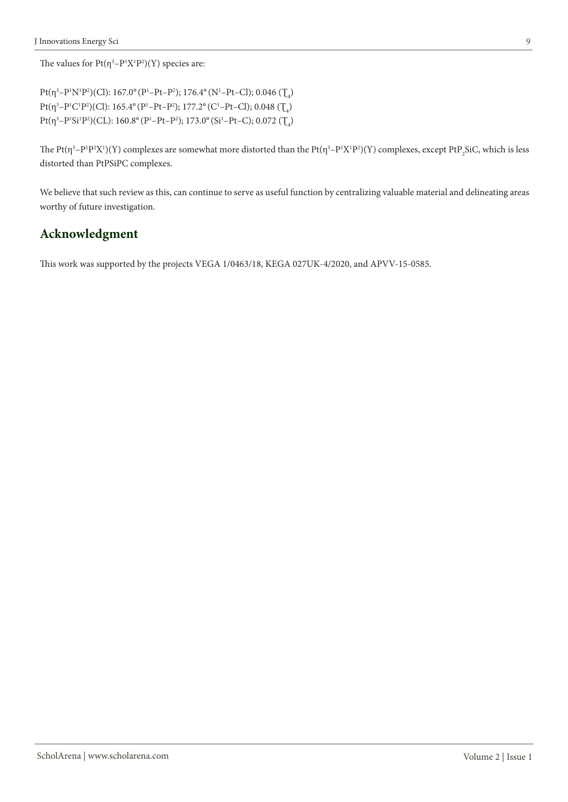The values for  $Pt(\eta^3-P^1X^1P^2)(Y)$  species are:

Pt(η<sup>3</sup>-P<sup>1</sup>N<sup>1</sup>P<sup>2</sup>)(Cl): 167.0° (P<sup>1</sup>-Pt-P<sup>2</sup>); 176.4° (N<sup>1</sup>-Pt-Cl); 0.046 (Ţ<sub>4</sub>) Pt(η<sup>3</sup>-P<sup>1</sup>C<sup>1</sup>P<sup>2</sup>)(Cl): 165.4° (P<sup>1</sup>-Pt-P<sup>2</sup>); 177.2° (C<sup>1</sup>-Pt-Cl); 0.048 (Ţ<sub>4</sub>) Pt(η<sup>3</sup>-P<sup>1</sup>Si<sup>1</sup>P<sup>2</sup>)(CL): 160.8° (P<sup>1</sup>-Pt-P<sup>2</sup>); 173.0° (Si<sup>1</sup>-Pt-C); 0.072 (Ţ<sub>4</sub>)

The Pt( $\eta^3$ –P<sup>1</sup>P<sup>2</sup>X<sup>1</sup>)(Y) complexes are somewhat more distorted than the Pt( $\eta^3$ –P<sup>1</sup>X<sup>1</sup>P<sup>2</sup>)(Y) complexes, except PtP<sub>2</sub>SiC, which is less distorted than PtPSiPC complexes.

We believe that such review as this, can continue to serve as useful function by centralizing valuable material and delineating areas worthy of future investigation.

## **Acknowledgment**

This work was supported by the projects VEGA 1/0463/18, KEGA 027UK-4/2020, and APVV-15-0585.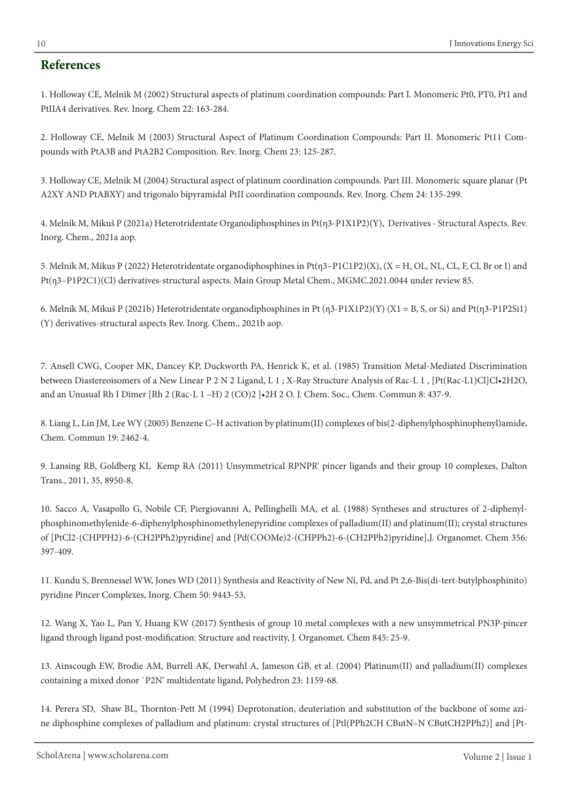#### **References**

1. Holloway CE, Melnik M (2002) Structural aspects of platinum coordination compounds: Part I. Monomeric Pt0, PT0, Pt1 and PtIIA4 derivatives. Rev. Inorg. Chem 22: 163-284.

2. Holloway CE, Melnik M (2003) Structural Aspect of Platinum Coordination Compounds: Part II. Monomeric Pt11 Compounds with PtA3B and PtA2B2 Composition. Rev. Inorg. Chem 23: 125-287.

3. Holloway CE, Melnik M (2004) Structural aspect of platinum coordination compounds. Part III. Monomeric square planar (Pt A2XY AND PtABXY) and trigonalo bipyramidal PtII coordination compounds. Rev. Inorg. Chem 24: 135-299.

4. Melník M, Mikuš P (2021a) Heterotridentate Organodiphosphines in Pt(η3-P1X1P2)(Y), Derivatives - Structural Aspects. Rev. Inorg. Chem., 2021a aop.

5. Melnik M, Mikus P (2022) Heterotridentate organodiphosphines in Pt(η3–P1C1P2)(X), (X = H, OL, NL, CL, F, Cl, Br or I) and Pt(η3–P1P2C1)(Cl) derivatives-structural aspects. Main Group Metal Chem., MGMC.2021.0044 under review 85.

6. Melník M, Mikuš P (2021b) Heterotridentate organodiphosphines in Pt (η3-P1X1P2)(Y) (X1 = B, S, or Si) and Pt(η3-P1P2Si1) (Y) derivatives-structural aspects Rev. Inorg. Chem., 2021b aop.

7. Ansell CWG, Cooper MK, Dancey KP, Duckworth PA, Henrick K, et al. (1985) Transition Metal-Mediated Discrimination between Diastereoisomers of a New Linear P 2 N 2 Ligand, L 1; X-Ray Structure Analysis of Rac-L 1, [Pt(Rac-L1)Cl]Cl•2H2O, and an Unusual Rh I Dimer [Rh 2 (Rac-L 1 –H) 2 (CO)2 ]•2H 2 O. J. Chem. Soc., Chem. Commun 8: 437-9.

8. Liang L, Lin JM, Lee WY (2005) Benzene C–H activation by platinum(II) complexes of bis(2-diphenylphosphinophenyl)amide, Chem. Commun 19: 2462-4.

9. Lansing RB, Goldberg KI, Kemp RA (2011) Unsymmetrical RPNPR' pincer ligands and their group 10 complexes, Dalton Trans., 2011, 35, 8950-8.

10. Sacco A, Vasapollo G, Nobile CF, Piergiovanni A, Pellinghelli MA, et al. (1988) Syntheses and structures of 2-diphenylphosphinomethylenide-6-diphenylphosphinomethylenepyridine complexes of palladium(II) and platinum(II); crystal structures of [PtCl2-(CHPPH2)-6-(CH2PPh2)pyridine] and [Pd(COOMe)2-(CHPPh2)-6-(CH2PPh2)pyridine],J. Organomet. Chem 356: 397-409.

11. Kundu S, Brennessel WW, Jones WD (2011) Synthesis and Reactivity of New Ni, Pd, and Pt 2,6-Bis(di-tert-butylphosphinito) pyridine Pincer Complexes, Inorg. Chem 50: 9443-53,

12. Wang X, Yao L, Pan Y, Huang KW (2017) Synthesis of group 10 metal complexes with a new unsymmetrical PN3P-pincer ligand through ligand post-modification: Structure and reactivity, J. Organomet. Chem 845: 25-9.

13. Ainscough EW, Brodie AM, Burrell AK, Derwahl A, Jameson GB, et al. (2004) Platinum(II) and palladium(II) complexes containing a mixed donor `P2N' multidentate ligand, Polyhedron 23: 1159-68.

14. Perera SD, Shaw BL, Thornton-Pett M (1994) Deprotonation, deuteriation and substitution of the backbone of some azine diphosphine complexes of palladium and platinum: crystal structures of [Ptl(PPh2CH CButN–N CButCH2PPh2)] and [Pt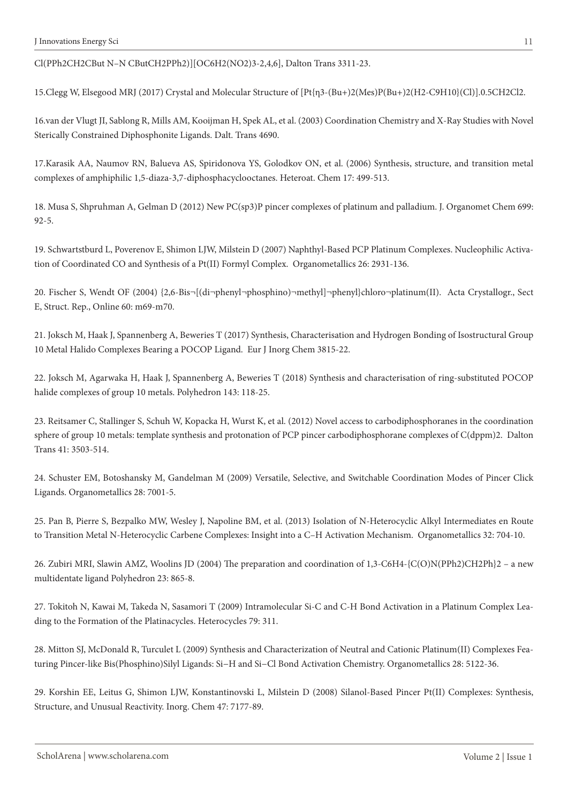Cl(PPh2CH2CBut N–N CButCH2PPh2)][OC6H2(NO2)3-2,4,6], Dalton Trans 3311-23.

15.Clegg W, Elsegood MRJ (2017) Crystal and Molecular Structure of [Pt{η3-(Bu+)2(Mes)P(Bu+)2(Η2-C9H10}(Cl)].0.5CH2Cl2.

16.van der Vlugt JI, Sablong R, Mills AM, Kooijman H, Spek AL, et al. (2003) Coordination Chemistry and X-Ray Studies with Novel Sterically Constrained Diphosphonite Ligands. Dalt. Trans 4690.

17.Karasik AA, Naumov RN, Balueva AS, Spiridonova YS, Golodkov ON, et al. (2006) Synthesis, structure, and transition metal complexes of amphiphilic 1,5-diaza-3,7-diphosphacyclooctanes. Heteroat. Chem 17: 499-513.

18. Musa S, Shpruhman A, Gelman D (2012) New PC(sp3)P pincer complexes of platinum and palladium. J. Organomet Chem 699: 92-5.

19. Schwartstburd L, Poverenov E, Shimon LJW, Milstein D (2007) Naphthyl-Based PCP Platinum Complexes. Nucleophilic Activation of Coordinated CO and Synthesis of a Pt(II) Formyl Complex. Organometallics 26: 2931-136.

20. Fischer S, Wendt OF (2004) {2,6-Bis¬[(di¬phenyl¬phosphino)¬methyl]¬phenyl}chloro¬platinum(II). Acta Crystallogr., Sect E, Struct. Rep., Online 60: m69-m70.

21. Joksch M, Haak J, Spannenberg A, Beweries T (2017) Synthesis, Characterisation and Hydrogen Bonding of Isostructural Group 10 Metal Halido Complexes Bearing a POCOP Ligand. Eur J Inorg Chem 3815-22.

22. Joksch M, Agarwaka H, Haak J, Spannenberg A, Beweries T (2018) Synthesis and characterisation of ring-substituted POCOP halide complexes of group 10 metals. Polyhedron 143: 118-25.

23. Reitsamer C, Stallinger S, Schuh W, Kopacka H, Wurst K, et al. (2012) Novel access to carbodiphosphoranes in the coordination sphere of group 10 metals: template synthesis and protonation of PCP pincer carbodiphosphorane complexes of C(dppm)2. Dalton Trans 41: 3503-514.

24. Schuster EM, Botoshansky M, Gandelman M (2009) Versatile, Selective, and Switchable Coordination Modes of Pincer Click Ligands. Organometallics 28: 7001-5.

25. Pan B, Pierre S, Bezpalko MW, Wesley J, Napoline BM, et al. (2013) Isolation of N-Heterocyclic Alkyl Intermediates en Route to Transition Metal N-Heterocyclic Carbene Complexes: Insight into a C–H Activation Mechanism. Organometallics 32: 704-10.

26. Zubiri MRI, Slawin AMZ, Woolins JD (2004) The preparation and coordination of 1,3-C6H4-{C(O)N(PPh2)CH2Ph}2 – a new multidentate ligand Polyhedron 23: 865-8.

27. Tokitoh N, Kawai M, Takeda N, Sasamori T (2009) Intramolecular Si-C and C-H Bond Activation in a Platinum Complex Leading to the Formation of the Platinacycles. Heterocycles 79: 311.

28. Mitton SJ, McDonald R, Turculet L (2009) Synthesis and Characterization of Neutral and Cationic Platinum(II) Complexes Featuring Pincer-like Bis(Phosphino)Silyl Ligands: Si−H and Si−Cl Bond Activation Chemistry. Organometallics 28: 5122-36.

29. Korshin EE, Leitus G, Shimon LJW, Konstantinovski L, Milstein D (2008) Silanol-Based Pincer Pt(II) Complexes: Synthesis, Structure, and Unusual Reactivity. Inorg. Chem 47: 7177-89.